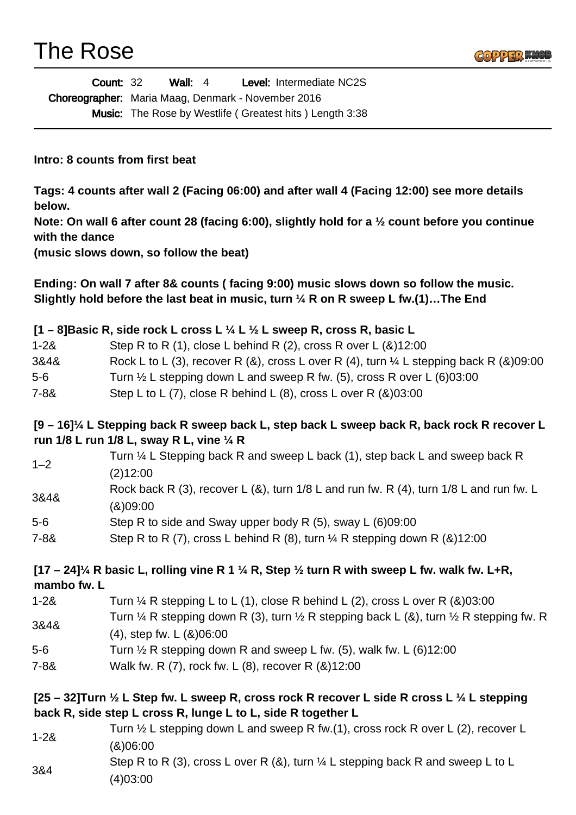# The Rose



| <b>Count: 32</b> | Wall: $4$                                                 |  |  | <b>Level: Intermediate NC2S</b>                                |
|------------------|-----------------------------------------------------------|--|--|----------------------------------------------------------------|
|                  | <b>Choreographer:</b> Maria Maag, Denmark - November 2016 |  |  |                                                                |
|                  |                                                           |  |  | <b>Music:</b> The Rose by Westlife (Greatest hits) Length 3:38 |

**Intro: 8 counts from first beat**

**Tags: 4 counts after wall 2 (Facing 06:00) and after wall 4 (Facing 12:00) see more details below.**

**Note: On wall 6 after count 28 (facing 6:00), slightly hold for a ½ count before you continue with the dance** 

**(music slows down, so follow the beat)** 

**Ending: On wall 7 after 8& counts ( facing 9:00) music slows down so follow the music. Slightly hold before the last beat in music, turn ¼ R on R sweep L fw.(1)…The End** 

#### **[1 – 8]Basic R, side rock L cross L ¼ L ½ L sweep R, cross R, basic L**

| $1 - 28$ | Step R to R (1), close L behind R (2), cross R over L $(8)12:00$ |  |
|----------|------------------------------------------------------------------|--|
|----------|------------------------------------------------------------------|--|

- 3&4& Rock L to L (3), recover R (&), cross L over R (4), turn ¼ L stepping back R (&)09:00
- 5-6 Turn ½ L stepping down L and sweep R fw. (5), cross R over L (6)03:00
- 7-8& Step L to L (7), close R behind L (8), cross L over R (&)03:00

#### **[9 – 16]¼ L Stepping back R sweep back L, step back L sweep back R, back rock R recover L run 1/8 L run 1/8 L, sway R L, vine ¼ R**

| $1 - 2$ | Turn 1/4 L Stepping back R and sweep L back (1), step back L and sweep back R              |
|---------|--------------------------------------------------------------------------------------------|
|         | (2)12:00                                                                                   |
| 3&4&    | Rock back R (3), recover L (&), turn $1/8$ L and run fw. R (4), turn $1/8$ L and run fw. L |
|         | (8)09:00                                                                                   |
| 5-6     | Step R to side and Sway upper body R (5), sway L (6)09:00                                  |
| 7.22.   | Stan R to R $(7)$ cross L babind R $(8)$ turn 1/ R stanning down R $(8.112.00)$            |

7-8& Step R to R (7), cross L behind R (8), turn  $\%$  R stepping down R (&)12:00

#### **[17 – 24]¼ R basic L, rolling vine R 1 ¼ R, Step ½ turn R with sweep L fw. walk fw. L+R, mambo fw. L**

| $1 - 28$ | Turn $\frac{1}{4}$ R stepping L to L (1), close R behind L (2), cross L over R (&)03:00                                 |
|----------|-------------------------------------------------------------------------------------------------------------------------|
| 3&4&     | Turn $\frac{1}{4}$ R stepping down R (3), turn $\frac{1}{2}$ R stepping back L (&), turn $\frac{1}{2}$ R stepping fw. R |
|          | $(4)$ , step fw. L $(8)06:00$                                                                                           |
| 5-6      | Turn $\frac{1}{2}$ R stepping down R and sweep L fw. (5), walk fw. L (6)12:00                                           |

7-8& Walk fw. R (7), rock fw. L (8), recover R (&)12:00

### **[25 – 32]Turn ½ L Step fw. L sweep R, cross rock R recover L side R cross L ¼ L stepping back R, side step L cross R, lunge L to L, side R together L**

1-2& Turn ½ L stepping down L and sweep R fw.(1), cross rock R over L (2), recover L (&)06:00 3&4 Step R to R (3), cross L over R  $(8)$ , turn  $\frac{1}{4}$  L stepping back R and sweep L to L (4)03:00